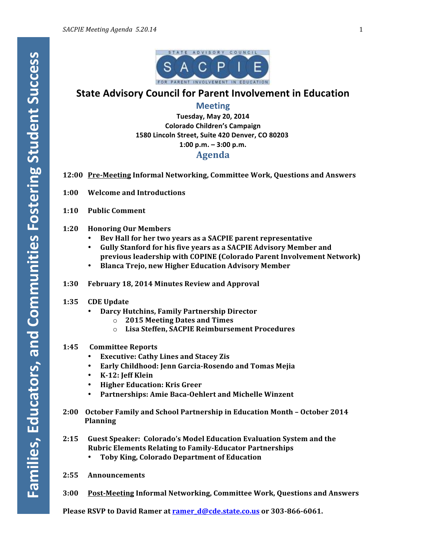

## **State Advisory Council for Parent Involvement in Education**

## **Meeting**

**Tuesday, May 20, 2014 Colorado Children's Campaign** 1580 Lincoln Street, Suite 420 Denver, CO 80203 **1:00 p.m. – 3:00 p.m.**

### **Agenda**

- **12:00 Pre-Meeting Informal Networking, Committee Work, Questions and Answers**
- **1:00 Welcome and Introductions**
- **1:10 Public Comment**
- **1:20 Honoring Our Members**
	- Bev Hall for her two vears as a SACPIE parent representative
	- Gully Stanford for his five years as a SACPIE Advisory Member and **previous leadership with COPINE (Colorado Parent Involvement Network)**
	- **Blanca Trejo, new Higher Education Advisory Member**
- **1:30 February 18, 2014 Minutes Review and Approval**

#### **1:35 CDE Update**

- **Darcy Hutchins, Family Partnership Director**
	- o **2015 Meeting Dates and Times**
	- o **Lisa Steffen, SACPIE Reimbursement Procedures**

#### **1:45 Committee Reports**

- **Executive: Cathy Lines and Stacey Zis**
- **Early Childhood: Jenn Garcia-Rosendo and Tomas Mejia**
- **K-12: Jeff Klein**
- **Higher Education: Kris Greer**
- Partnerships: Amie Baca-Oehlert and Michelle Winzent
- **2:00 October Family and School Partnership in Education Month – October 2014 Planning**
- **2:15 Guest Speaker: Colorado's Model Education Evaluation System and the Rubric Elements Relating to Family-Educator Partnerships** 
	- **Toby King, Colorado Department of Education**
- **2:55 Announcements**
- **3:00 Post-Meeting Informal Networking, Committee Work, Questions and Answers**

**Please RSVP to David Ramer at ramer d@cde.state.co.us** or 303-866-6061.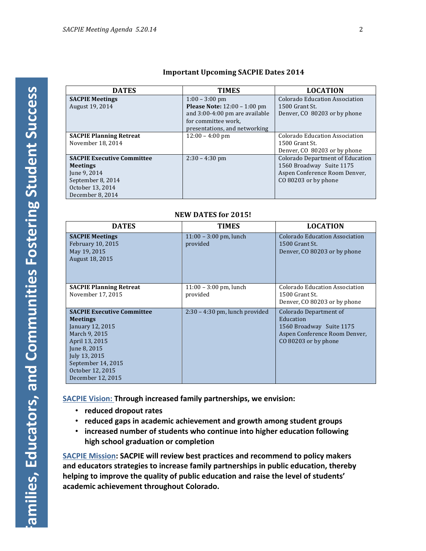| <b>Important Upcoming SACPIE Dates 2014</b> |  |  |
|---------------------------------------------|--|--|
|                                             |  |  |

| <b>DATES</b>                      | <b>TIMES</b>                          | <b>LOCATION</b>                  |  |  |
|-----------------------------------|---------------------------------------|----------------------------------|--|--|
| <b>SACPIE Meetings</b>            | $1:00 - 3:00$ pm                      | Colorado Education Association   |  |  |
| August 19, 2014                   | <b>Please Note:</b> $12:00 - 1:00$ pm | 1500 Grant St.                   |  |  |
|                                   | and 3:00-4:00 pm are available        | Denver, CO 80203 or by phone     |  |  |
|                                   | for committee work.                   |                                  |  |  |
|                                   | presentations, and networking         |                                  |  |  |
| <b>SACPIE Planning Retreat</b>    | $12:00 - 4:00$ pm                     | Colorado Education Association   |  |  |
| November 18, 2014                 |                                       | 1500 Grant St.                   |  |  |
|                                   |                                       | Denver, CO 80203 or by phone     |  |  |
| <b>SACPIE Executive Committee</b> | $2:30 - 4:30$ pm                      | Colorado Department of Education |  |  |
| <b>Meetings</b>                   |                                       | 1560 Broadway Suite 1175         |  |  |
| June 9, 2014                      |                                       | Aspen Conference Room Denver,    |  |  |
| September 8, 2014                 |                                       | CO 80203 or by phone             |  |  |
| October 13, 2014                  |                                       |                                  |  |  |
| December 8, 2014                  |                                       |                                  |  |  |

### **NEW DATES for 2015!**

| <b>DATES</b>                                                                                                                                                                                                | <b>TIMES</b>                         | <b>LOCATION</b>                                                                                                          |
|-------------------------------------------------------------------------------------------------------------------------------------------------------------------------------------------------------------|--------------------------------------|--------------------------------------------------------------------------------------------------------------------------|
| <b>SACPIE Meetings</b><br>February 10, 2015<br>May 19, 2015<br>August 18, 2015                                                                                                                              | $11:00 - 3:00$ pm, lunch<br>provided | Colorado Education Association<br>1500 Grant St.<br>Denver, CO 80203 or by phone                                         |
| <b>SACPIE Planning Retreat</b><br>November 17, 2015                                                                                                                                                         | $11:00 - 3:00$ pm, lunch<br>provided | Colorado Education Association<br>1500 Grant St.<br>Denver, CO 80203 or by phone                                         |
| <b>SACPIE Executive Committee</b><br><b>Meetings</b><br>January 12, 2015<br>March 9, 2015<br>April 13, 2015<br>June 8, 2015<br>July 13, 2015<br>September 14, 2015<br>October 12, 2015<br>December 12, 2015 | $2:30 - 4:30$ pm, lunch provided     | Colorado Department of<br>Education<br>1560 Broadway Suite 1175<br>Aspen Conference Room Denver,<br>CO 80203 or by phone |

**SACPIE Vision: Through increased family partnerships, we envision:** 

- **reduced dropout rates**
- reduced gaps in academic achievement and growth among student groups
- **increased** number of students who continue into higher education following **high school graduation or completion**

**SACPIE Mission: SACPIE will review best practices and recommend to policy makers** and educators strategies to increase family partnerships in public education, thereby helping to improve the quality of public education and raise the level of students' academic achievement throughout Colorado.